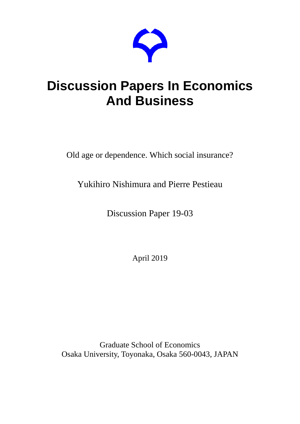

# **Discussion Papers In Economics And Business**

Old age or dependence. Which social insurance?

Yukihiro Nishimura and Pierre Pestieau

Discussion Paper 19-03

April 2019

Graduate School of Economics Osaka University, Toyonaka, Osaka 560-0043, JAPAN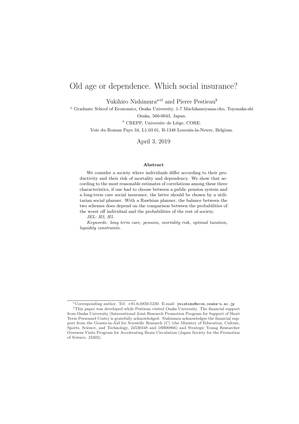# Old age or dependence. Which social insurance?

Yukihiro Nishimura*<sup>a</sup>∗†* and Pierre Pestieau*<sup>b</sup>*

*<sup>a</sup>* Graduate School of Economics, Osaka University, 1-7 Machikaneyama-cho, Toyonaka-shi

Osaka, 560-0043, Japan.

<sup>*b*</sup> CREPP, Universite de Liège, CORE.

Voie du Roman Pays 34, L1.03.01, B-1348 Louvain-la-Neuve, Belgium.

April 3, 2019

#### **Abstract**

We consider a society where individuals differ according to their productivity and their risk of mortality and dependency. We show that according to the most reasonable estimates of correlations among these three characteristics, if one had to choose between a public pension system and a long-term care social insurance, the latter should be chosen by a utilitarian social planner. With a Rawlsian planner, the balance between the two schemes does depend on the comparison between the probabilities of the worst off individual and the probabilities of the rest of society.

*JEL: H2, H5.*

*Keywords: long term care, pension, mortality risk, optimal taxation, liquidity constraints.*

*<sup>∗</sup>*Corresponding author. Tel: +81-6-6850-5230. E-mail: ynishimu@econ.osaka-u.ac.jp

*<sup>†</sup>*This paper was developed while Pestieau visited Osaka University. The financial support from Osaka University (International Joint Research Promotion Program for Support of Short Term Personnel Costs) is gratefully acknowledged. Nishimura acknowledges the financial support from the Grants-in-Aid for Scientific Research (C) (the Ministry of Education, Culture, Sports, Science, and Technology, 24530348 and 18H00866) and Strategic Young Researcher Overseas Visits Program for Accelerating Brain Circulation (Japan Society for the Promotion of Science, J2402).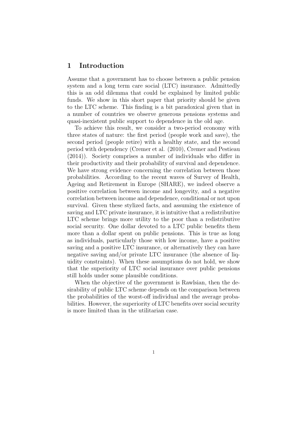### **1 Introduction**

Assume that a government has to choose between a public pension system and a long term care social (LTC) insurance. Admittedly this is an odd dilemma that could be explained by limited public funds. We show in this short paper that priority should be given to the LTC scheme. This finding is a bit paradoxical given that in a number of countries we observe generous pensions systems and quasi-inexistent public support to dependence in the old age.

To achieve this result, we consider a two-period economy with three states of nature: the first period (people work and save), the second period (people retire) with a healthy state, and the second period with dependency (Cremer et al. (2010), Cremer and Pestieau (2014)). Society comprises a number of individuals who differ in their productivity and their probability of survival and dependence. We have strong evidence concerning the correlation between those probabilities. According to the recent waves of Survey of Health, Ageing and Retirement in Europe (SHARE), we indeed observe a positive correlation between income and longevity, and a negative correlation between income and dependence, conditional or not upon survival. Given these stylized facts, and assuming the existence of saving and LTC private insurance, it is intuitive that a redistributive LTC scheme brings more utility to the poor than a redistributive social security. One dollar devoted to a LTC public benefits them more than a dollar spent on public pensions. This is true as long as individuals, particularly those with low income, have a positive saving and a positive LTC insurance, or alternatively they can have negative saving and/or private LTC insurance (the absence of liquidity constraints). When these assumptions do not hold, we show that the superiority of LTC social insurance over public pensions still holds under some plausible conditions.

When the objective of the government is Rawlsian, then the desirability of public LTC scheme depends on the comparison between the probabilities of the worst-off individual and the average probabilities. However, the superiority of LTC benefits over social security is more limited than in the utilitarian case.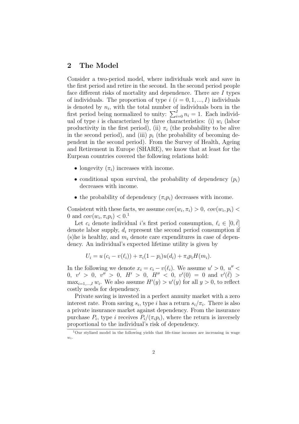# **2 The Model**

Consider a two-period model, where individuals work and save in the first period and retire in the second. In the second period people face different risks of mortality and dependence. There are *I* types of individuals. The proportion of type  $i$   $(i = 0, 1, ..., I)$  individuals is denoted by  $n_i$ , with the total number of individuals born in the first period being normalized to unity:  $\sum_{i=0}^{I} n_i = 1$ . Each individual of type *i* is characterized by three characteristics: (i)  $w_i$  (labor productivity in the first period), (ii)  $\pi_i$  (the probability to be alive in the second period), and (iii)  $p_i$  (the probability of becoming dependent in the second period). From the Survey of Health, Ageing and Retirement in Europe (SHARE), we know that at least for the Eurpean countries covered the following relations hold:

- longevity  $(\pi_i)$  increases with income.
- conditional upon survival, the probability of dependency  $(p_i)$ decreases with income.
- the probability of dependency  $(\pi_i p_i)$  decreases with income.

Consistent with these facts, we assume  $cov(w_i, \pi_i) > 0$ ,  $cov(w_i, p_i) <$ 0 and  $cov(w_i, \pi_i p_i) < 0.1$ 

Let  $c_i$  denote individual *i*'s first period consumption,  $\ell_i \in [0, \overline{\ell}]$ denote labor supply, *d<sup>i</sup>* represent the second period consumption if (s)he is healthy, and  $m<sub>i</sub>$  denote care expenditures in case of dependency. An individual's expected lifetime utility is given by

$$
U_i = u (c_i - v(\ell_i)) + \pi_i (1 - p_i) u(d_i) + \pi_i p_i H(m_i).
$$

In the following we denote  $x_i = c_i - v(\ell_i)$ . We assume  $u' > 0$ ,  $u'' <$  $0, v' > 0, v'' > 0, H' > 0, H'' < 0, v'(0) = 0 \text{ and } v'(\overline{\ell}) > 0$  $\max_{i=1,\dots,I} w_i$ . We also assume  $H'(y) > u'(y)$  for all  $y > 0$ , to reflect costly needs for dependency.

Private saving is invested in a perfect annuity market with a zero interest rate. From saving  $s_i$ , type *i* has a return  $s_i/\pi_i$ . There is also a private insurance market against dependency. From the insurance purchase  $P_i$ , type *i* receives  $P_i/(\pi_i p_i)$ , where the return is inversely proportional to the individual's risk of dependency.

<sup>1</sup>Our stylized model in the following yields that life-time incomes are increasing in wage *wi*.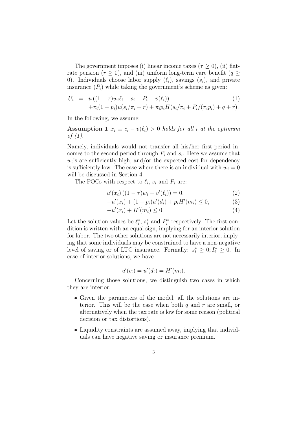The government imposes (i) linear income taxes ( $\tau \geq 0$ ), (ii) flatrate pension  $(r \geq 0)$ , and (iii) uniform long-term care benefit  $(q \geq 0)$ 0). Individuals choose labor supply  $(\ell_i)$ , savings  $(s_i)$ , and private insurance  $(P_i)$  while taking the government's scheme as given:

$$
U_i = u((1 - \tau)w_i \ell_i - s_i - P_i - v(\ell_i))
$$
  
+ 
$$
\tau_i(1 - p_i)u(s_i/\pi_i + r) + \pi_i p_i H(s_i/\pi_i + P_i/(\pi_i p_i) + q + r).
$$
 (1)

In the following, we assume:

**Assumption 1**  $x_i \equiv c_i - v(\ell_i) > 0$  *holds for all i at the optimum of (1).*

Namely, individuals would not transfer all his/her first-period incomes to the second period through  $P_i$  and  $s_i$ . Here we assume that  $w_i$ 's are sufficiently high, and/or the expected cost for dependency is sufficiently low. The case where there is an individual with  $w_i = 0$ will be discussed in Section 4.

The FOCs with respect to  $\ell_i$ ,  $s_i$  and  $P_i$  are:

$$
u'(x_i) ((1 - \tau)w_i - v'(\ell_i)) = 0,
$$
\n(2)

$$
-u'(x_i) + (1 - p_i)u'(d_i) + p_i H'(m_i) \le 0,
$$
\n(3)

$$
-u'(x_i) + H'(m_i) \le 0.
$$
 (4)

Let the solution values be  $\ell_i^*$ ,  $s_i^*$  and  $P_i^*$  respectively. The first condition is written with an equal sign, implying for an interior solution for labor. The two other solutions are not necessarily interior, implying that some individuals may be constrained to have a non-negative level of saving or of LTC insurance. Formally:  $s_i^* \geq 0; I_i^* \geq 0$ . In case of interior solutions, we have

$$
u'(c_i) = u'(d_i) = H'(m_i).
$$

Concerning those solutions, we distinguish two cases in which they are interior:

- *•* Given the parameters of the model, all the solutions are interior. This will be the case when both *q* and *r* are small, or alternatively when the tax rate is low for some reason (political decision or tax distortions).
- *•* Liquidity constraints are assumed away, implying that individuals can have negative saving or insurance premium.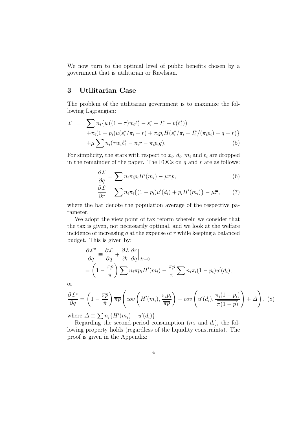We now turn to the optimal level of public benefits chosen by a government that is utilitarian or Rawlsian.

# **3 Utilitarian Case**

The problem of the utilitarian government is to maximize the following Lagrangian:

$$
\mathcal{L} = \sum n_i \{ u ((1 - \tau) w_i \ell_i^* - s_i^* - I_i^* - v(\ell_i^*)) \n+ \pi_i (1 - p_i) u(s_i^* / \pi_i + r) + \pi_i p_i H(s_i^* / \pi_i + I_i^* / (\pi_i p_i) + q + r) \} \n+ \mu \sum n_i (\tau w_i \ell_i^* - \pi_i r - \pi_i p_i q),
$$
\n(5)

For simplicity, the stars with respect to  $x_i$ ,  $d_i$ ,  $m_i$  and  $\ell_i$  are dropped in the remainder of the paper. The FOCs on *q* and *r* are as follows:

$$
\frac{\partial \mathcal{L}}{\partial q} = \sum n_i \pi_i p_i H'(m_i) - \mu \overline{\pi p},\tag{6}
$$

$$
\frac{\partial \mathcal{L}}{\partial r} = \sum n_i \pi_i \{ (1 - p_i) u'(d_i) + p_i H'(m_i) \} - \mu \overline{\pi}, \qquad (7)
$$

where the bar denote the population average of the respective parameter.

We adopt the view point of tax reform wherein we consider that the tax is given, not necessarily optimal, and we look at the welfare incidence of increasing *q* at the expense of *r* while keeping a balanced budget. This is given by:

$$
\frac{\partial \mathcal{L}^c}{\partial q} \equiv \frac{\partial \mathcal{L}}{\partial q} + \frac{\partial \mathcal{L}}{\partial r} \frac{\partial r}{\partial q} \Big|_{d\tau=0}
$$
  
=  $\left(1 - \frac{\overline{\pi p}}{\overline{\pi}}\right) \sum n_i \pi p_i H'(m_i) - \frac{\overline{\pi p}}{\overline{\pi}} \sum n_i \pi_i (1 - p_i) u'(d_i),$ 

or

$$
\frac{\partial \mathcal{L}^c}{\partial q} = \left(1 - \frac{\overline{\pi p}}{\overline{\pi}}\right) \overline{\pi p} \left( cov\left(H'(m_i), \frac{\pi_i p_i}{\overline{\pi p}}\right) - cov\left(u'(d_i), \frac{\pi_i(1-p_i)}{\overline{\pi}(1-p)}\right) + \Delta\right), (8)
$$

where  $\Delta \equiv \sum n_i \{ H'(m_i) - u'(d_i) \}.$ 

Regarding the second-period consumption  $(m_i \text{ and } d_i)$ , the following property holds (regardless of the liquidity constraints). The proof is given in the Appendix: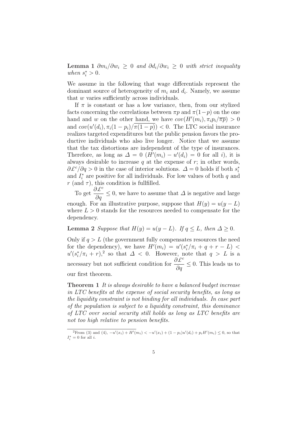**Lemma 1** *∂mi/∂w<sup>i</sup> ≥* 0 *and ∂di/∂w<sup>i</sup> ≥* 0 *with strict inequality when*  $s_i^* > 0$ *.* 

We assume in the following that wage differentials represent the dominant source of heterogeneity of *m<sup>i</sup>* and *d<sup>i</sup>* . Namely, we assume that *w* varies sufficiently across individuals.

If  $\pi$  is constant or has a low variance, then, from our stylized facts concerning the correlations between  $\pi p$  and  $\pi(1-p)$  on the one hand and *w* on the other hand, we have  $cov(H'(m_i), \pi_i p_i / \overline{\pi p}) > 0$ and  $cov(u'(d_i), \pi_i(1-p_i)/\pi(1-p)) < 0$ . The LTC social insurance realizes targeted expenditures but the public pension favors the productive individuals who also live longer. Notice that we assume that the tax distortions are independent of the type of insurances. Therefore, as long as  $\Delta = 0$   $(H'(m_i) - u'(d_i) = 0$  for all *i*), it is always desirable to increase  $q$  at the expense of  $r$ ; in other words,  $\partial \mathcal{L}^c / \partial q > 0$  in the case of interior solutions.  $\Delta = 0$  holds if both  $s_i^*$ and  $I_i^*$  are positive for all individuals. For low values of both  $q$  and  $r$  (and  $\tau$ ), this condition is fullfilled.

To get *<sup>∂</sup>£<sup>c</sup>*  $\frac{\partial z}{\partial q} \leq 0$ , we have to assume that  $\Delta$  is negative and large enough. For an illustrative purpose, suppose that  $H(y) = u(y - L)$ where  $L > 0$  stands for the resources needed to compensate for the dependency.

# **Lemma 2** *Suppose that*  $H(y) = u(y - L)$ *. If*  $q \leq L$ *, then*  $\Delta > 0$ *.*

Only if  $q > L$  (the government fully compensates resources the need for the dependency), we have  $H'(m_i) = u'(s_i^*/\pi_i + q + r - L)$  $u'(s_i^*/\pi_i + r)$ , so that  $\Delta < 0$ . However, note that  $q > L$  is a necessary but not sufficient condition for  $\frac{\partial \mathcal{L}^c}{\partial \mathcal{L}^c}$  $\frac{\partial z}{\partial q}$  ≤ 0. This leads us to our first theorem.

**Theorem 1** *It is always desirable to have a balanced budget increase in LTC benefits at the expense of social security benefits, as long as the liquidity constraint is not binding for all individuals. In case part of the population is subject to a liquidity constraint, this dominance of LTC over social security still holds as long as LTC benefits are not too high relative to pension benefits.*

<sup>&</sup>lt;sup>2</sup>From (3) and (4),  $-u'(x_i) + H'(m_i) < -u'(x_i) + (1 - p_i)u'(d_i) + p_iH'(m_i) \leq 0$ , so that  $I_i^* = 0$  for all *i*.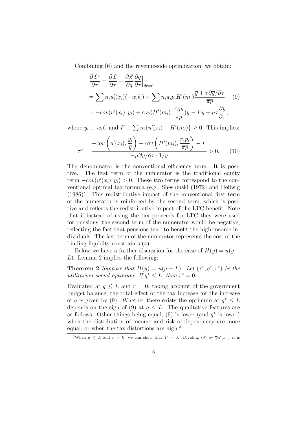Combining (6) and the revenue-side optimization, we obtain:

$$
\frac{\partial \mathcal{L}^c}{\partial \tau} = \frac{\partial \mathcal{L}}{\partial \tau} + \frac{\partial \mathcal{L}}{\partial q} \frac{\partial q}{\partial \tau} \Big|_{dr=0}
$$
\n
$$
= \sum n_i u'_i(x_i)(-w_i \ell_i) + \sum n_i \pi_i p_i H'(m_i) \frac{\overline{y} + \tau \partial \overline{y} / \partial \tau}{\overline{\pi p}} \qquad (9)
$$
\n
$$
= -\text{cov}(u'(x_i), y_i) + \text{cov}(H'(m_i), \frac{\pi_i p_i}{\overline{\pi p}}) \overline{y} - \Gamma \overline{y} + \mu \tau \frac{\partial \overline{y}}{\partial \tau},
$$

where  $y_i \equiv w_i \ell_i$  and  $\Gamma \equiv \sum n_i \{u'(x_i) - H'(m_i)\} \geq 0$ . This implies:

$$
\tau^* = \frac{-cov\left(u'(x_i), \frac{y_i}{\overline{y}}\right) + cov\left(H'(m_i), \frac{\pi_i p_i}{\overline{\pi p}}\right) - \Gamma}{-\mu \partial \overline{y}/\partial \tau \cdot 1/\overline{y}} > 0. \quad (10)
$$

The denominator is the conventional efficiency term. It is positive. The first term of the numerator is the traditional equity term  $-cov(u'(x_i), y_i) > 0$ . These two terms correspond to the conventional optimal tax formula (e.g., Sheshinski (1972) and Hellwig (1986)). This redistributive impact of the conventional first term of the numerator is reinforced by the second term, which is positive and reflects the redistributive impact of the LTC benefit. Note that if instead of using the tax proceeds for LTC they were used for pensions, the second term of the numerator would be negative, reflecting the fact that pensions tend to benefit the high-income individuals. The last term of the numerator represents the cost of the binding liquidity constraints (4).

Below we have a further discussion for the case of  $H(y) = u(y -$ *L*). Lemma 2 implies the following:

**Theorem 2** *Suppose that*  $H(y) = u(y - L)$ *. Let*  $(\tau^*, q^*, r^*)$  *be the utilirarian social optimum. If*  $q^* \leq L$ *, then*  $r^* = 0$ *.* 

Evaluated at  $q \leq L$  and  $r = 0$ , taking account of the government budget balance, the total effect of the tax increase for the increase of *q* is given by (9). Whether there exists the optimum at  $q^* \leq L$ depends on the sign of (9) at  $q \leq L$ . The qualitative features are as follows. Other things being equal,  $(9)$  is lower (and  $q^*$  is lower) when the distribution of income and risk of dependency are more equal, or when the tax distortions are high.<sup>3</sup>

<sup>&</sup>lt;sup>3</sup>When  $q \leq L$  and  $r = 0$ , we can show that  $\Gamma = 0$ . Dividing (9) by  $\overline{yu'(x_i)}$ , it is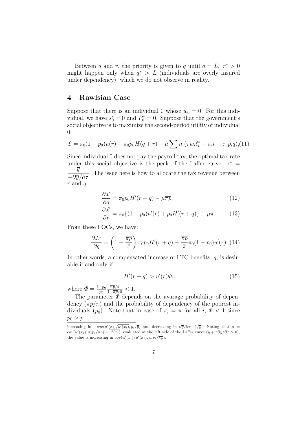Between *q* and *r*, the priority is given to *q* until  $q = L$ .  $r^* > 0$ might happen only when  $q^*$  > L (individuals are overly insured under dependency), which we do not observe in reality.

#### **4 Rawlsian Case**

Suppose that there is an individual 0 whose  $w_0 = 0$ . For this individual, we have  $s_0^* = 0$  and  $P_0^* = 0$ . Suppose that the government's social objective is to maximize the second-period utility of individual 0:

$$
\mathcal{L} = \pi_0 (1 - p_0) u(r) + \pi_0 p_0 H(q + r) + \mu \sum n_i (\tau w_i \ell_i^* - \pi_i r - \pi_i p_i q), (11)
$$

Since individual 0 does not pay the payroll tax, the optimal tax rate under this social objective is the peak of the Laffer curve:  $\tau^* =$ *y*  $-\frac{\partial}{\partial y/\partial \tau}$ . The issue here is how to allocate the tax revenue between

$$
r
$$
 and  $q$ .

$$
\frac{\partial \mathcal{L}}{\partial q} = \pi_0 p_0 H'(r + q) - \mu \overline{\pi p},\tag{12}
$$

$$
\frac{\partial \mathcal{L}}{\partial r} = \pi_0 \{ (1 - p_0) u'(r) + p_0 H'(r + q) \} - \mu \overline{\pi}.
$$
 (13)

From these FOCs, we have:

$$
\frac{\partial \mathcal{L}^c}{\partial q} = \left(1 - \frac{\overline{\pi p}}{\overline{\pi}}\right) \pi_0 p_0 H'(r + q) - \frac{\overline{\pi p}}{\overline{\pi}} \pi_0 (1 - p_0) u'(r) \tag{14}
$$

In other words, a compensated increase of LTC benefits, *q*, is desirable if and only if:

$$
H'(r+q) > u'(r)\Phi,\t\t(15)
$$

where  $\Phi = \frac{1-p_0}{p_0}$  $\frac{\overline{\pi p}/\bar{\pi}}{1-\overline{\pi p}/\bar{\pi}} < 1.$ 

The parameter *Φ* depends on the avarage probability of dependency  $(\overline{\pi p}/\overline{\pi})$  and the probability of dependency of the poorest individuals  $(p_0)$ . Note that in case of  $\pi_i = \overline{\pi}$  for all *i*,  $\Phi < 1$  since  $p_0 > \overline{p}$ .

increasing in  $-cov(u'(\underline{x_i})/u'(x_i), y_i/\overline{y})$  and decreasing in  $\partial \overline{y}/\partial \tau \cdot 1/\overline{y}$ . Noting that  $\mu =$  $cov(u'(x_i), \pi_i p_i / \overline{\pi p}) + u'(x_i)$ , evaluated at the left side of the Laffer curve  $(\overline{y} + \tau \partial \overline{y}/\partial \tau > 0)$ , the value is increasing in  $cov(u'(x_i)/u'(x_i), \pi_i p_i/\overline{\pi p}).$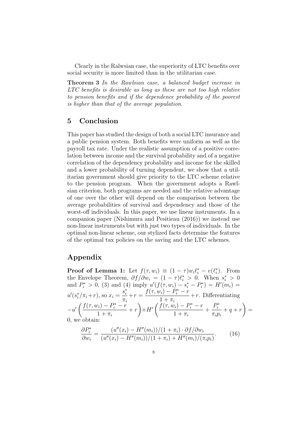Clearly in the Ralwsian case, the superiority of LTC benefits over social security is more limited than in the utilitarian case.

**Theorem 3** *In the Rawlsian case, a balanced budget increase in LTC benefits is desirable as long as these are not too high relative to pension benefits and if the dependence probability of the poorest is higher than that of the average population.*

### **5 Conclusion**

This paper has studied the design of both a social LTC insurance and a public pension system. Both benefits were uniform as well as the payroll tax rate. Under the realistic assumption of a positive correlation between income and the survival probability and of a negative correlation of the dependency probability and income for the skilled and a lower probability of turning dependent, we show that a utilitarian government should give priority to the LTC scheme relative to the pension program. When the government adopts a Rawlsian criterion, both programs are needed and the relative advantage of one over the other will depend on the comparison between the average probabilities of survival and dependency and those of the worst-off individuals. In this paper, we use linear instruments. In a companion paper (Nishimura and Pesitieau (2016)) we instead use non-linear instruments but with just two types of individuals. In the optimal non-linear scheme, our stylized facts determine the features of the optimal tax policies on the saving and the LTC schemes.

# **Appendix**

**Proof of Lemma 1:** Let  $f(\tau, w_i) \equiv (1 - \tau)w_i \ell_i^* - v(\ell_i^*)$ . From the Envelope Theorem,  $\partial f / \partial w_i = (1 - \tau) \ell_i^* > 0$ . When  $s_i^* > 0$ and  $P_i^* > 0$ , (3) and (4) imply  $u'(f(\tau, w_i) - s_i^* - P_i^*) = H'(m_i) =$  $u'(s_i^*/\pi_i+r)$ , so  $x_i =$ *s ∗ i πi*  $+r = \frac{f(\tau, w_i) - P_i^* - r}{1 - r}$  $1 + \pi_i$ +*r*. Differentiating  $-u'$   $\left(\frac{f(\tau, w_i) - P_i^* - r}{1 - r}\right)$  $1 + \pi_i$ + *r*  $\setminus$  $+H'$  $\int f(\tau, w_i) - P_i^* - r$  $1 + \pi_i$  $+$ *P ∗ i πip<sup>i</sup>*  $+ q + r$  $\setminus$ = 0, we obtain:

$$
\frac{\partial P_i^*}{\partial w_i} = \frac{(u''(x_i) - H''(m_i))/(1 + \pi_i) \cdot \partial f / \partial w_i}{(u''(x_i) - H''(m_i))/(1 + \pi_i) + H''(m_i)/(\pi_i p_i)}.
$$
(16)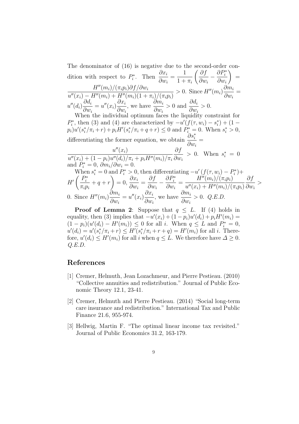The denominator of (16) is negative due to the second-order condition with respect to  $P_i^*$ . Then  $\frac{\partial x_i}{\partial x_i}$ *∂w<sup>i</sup>* = 1  $1 + \pi_i$ µ *∂f ∂w<sup>i</sup> − ∂P<sup>∗</sup> i ∂w<sup>i</sup>*  $\setminus$ =  $H''(m_i)/(\pi_i p_i)\partial f/\partial w_i$ *∂m<sup>i</sup>* =

 $u''(x_i) - H''(m_i) + H''(m_i)(1 + \pi_i)/(\pi_i p_i)$  $> 0$ . Since  $H''(m_i)$ *∂w<sup>i</sup>*  $u''(d_i)$ *∂d<sup>i</sup> ∂w<sup>i</sup>*  $= u''(x_i)$ *∂x<sup>i</sup> ∂w<sup>i</sup>* , we have  $\frac{\partial m_i}{\partial n_j}$ *∂w<sup>i</sup> <sup>&</sup>gt;* 0 and *∂d<sup>i</sup> ∂w<sup>i</sup> >* 0.

When the individual optimum faces the liquidity constraint for  $P_i^*$ , then (3) and (4) are characterized by  $-\frac{u'(f(\tau, w_i) - s_i^*) + (1 - \tau_i^*)}{\tau_i}$  $p_i)u'(s_i^*/\pi_i+r) + p_iH'(s_i^*/\pi_i+q+r) \leq 0$  and  $P_{i}^* = 0$ . When  $s_i^* > 0$ , differentiating the former equation, we obtain  $\frac{\partial s_i^*}{\partial s_i^*}$ *∂w<sup>i</sup>* =

$$
\frac{u''(x_i)}{u''(x_i) + (1 - p_i)u''(d_i)/\pi_i + p_i H''(m_i)/\pi_i} \frac{\partial f}{\partial w_i} > 0.
$$
 When  $s_i^* = 0$  and  $P_i^* = 0$ ,  $\partial m_i/\partial w_i = 0$ .

When 
$$
s_i^* = 0
$$
 and  $P_i^* > 0$ , then differentiating  $-u'(f(\tau, w_i) - P_i^*)$ +  
\n
$$
H'\left(\frac{P_i^*}{\pi_i p_i} + q + r\right) = 0, \frac{\partial x_i}{\partial w_i} = \frac{\partial f}{\partial w_i} - \frac{\partial P_i^*}{\partial w_i} = \frac{H''(m_i)/(\pi_i p_i)}{u''(x_i) + H''(m_i)/(\pi_i p_i)} \frac{\partial f}{\partial w_i} > 0.
$$
\nSince  $H''(m_i) \frac{\partial m_i}{\partial w_i} = u''(x_i) \frac{\partial x_i}{\partial w_i}$ , we have  $\frac{\partial m_i}{\partial w_i} > 0$ . *Q.E.D.*

**Proof of Lemma 2**: Suppose that  $q \leq L$ . If (4) holds in equality, then (3) implies that  $-v'(x_i) + (1 - p_i)u'(d_i) + p_i H'(m_i) =$  $(1 - p_i)(u'(d_i) - H'(m_i)) \leq 0$  for all *i*. When  $q \leq L$  and  $P_i^* = 0$ ,  $u'(d_i) = u'(s_i^*/\pi_i + r) \leq H'(s_i^*/\pi_i + r + q) = H'(m_i)$  for all *i*. Therefore,  $u'(d_i) \leq H'(m_i)$  for all *i* when  $q \leq L$ . We therefore have  $\Delta \geq 0$ . *Q.E.D.*

# **References**

- [1] Cremer, Helmuth, Jean Lozachmeur, and Pierre Pestieau. (2010) "Collective annuities and redistribution." Journal of Public Economic Theory 12.1, 23-41.
- [2] Cremer, Helmuth and Pierre Pestieau. (2014) "Social long-term care insurance and redistribution." International Tax and Public Finance 21.6, 955-974.
- [3] Hellwig, Martin F. "The optimal linear income tax revisited." Journal of Public Economics 31.2, 163-179.